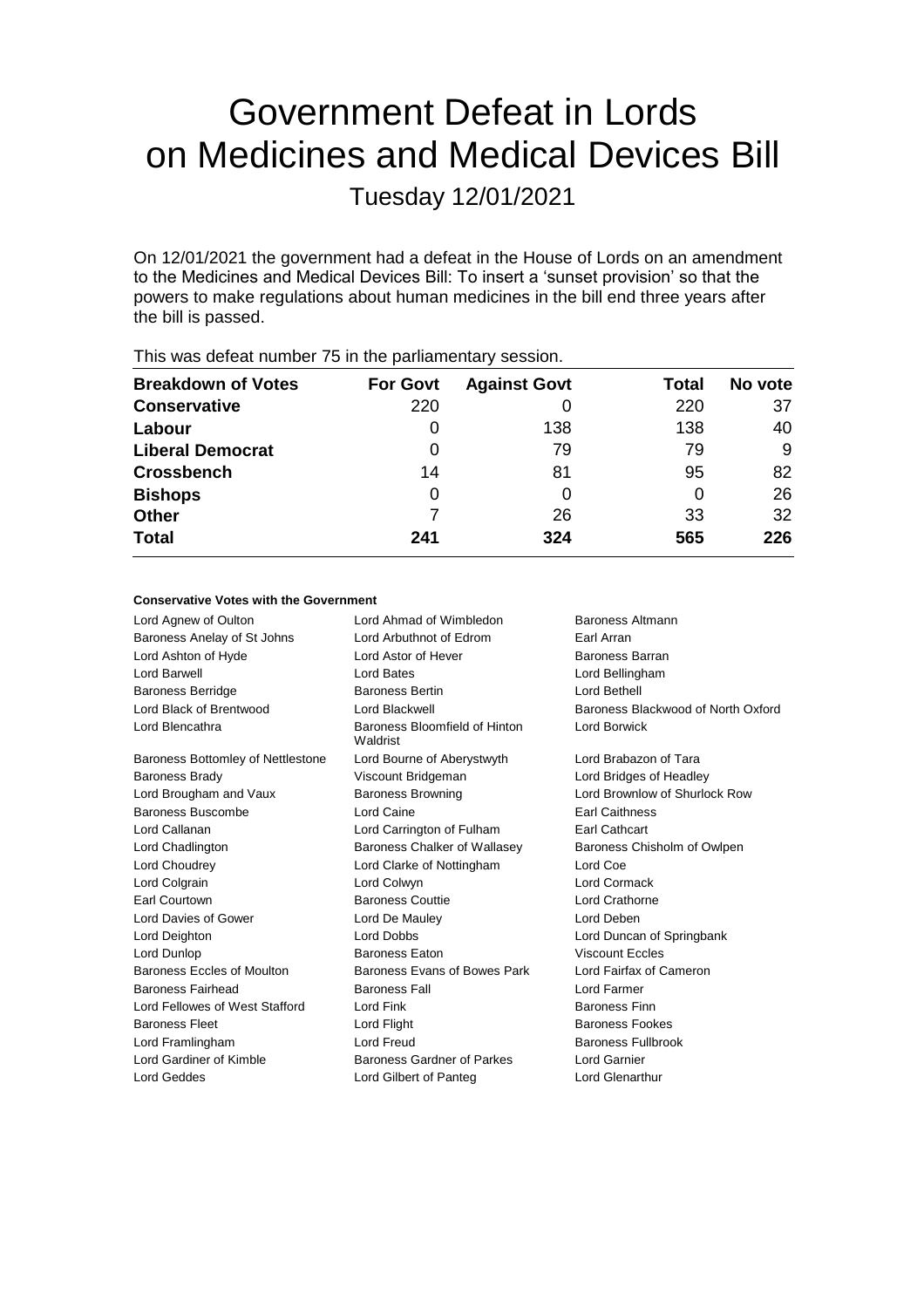# Government Defeat in Lords on Medicines and Medical Devices Bill

Tuesday 12/01/2021

On 12/01/2021 the government had a defeat in the House of Lords on an amendment to the Medicines and Medical Devices Bill: To insert a 'sunset provision' so that the powers to make regulations about human medicines in the bill end three years after the bill is passed.

|                           |                 | -                   |       |         |
|---------------------------|-----------------|---------------------|-------|---------|
| <b>Breakdown of Votes</b> | <b>For Govt</b> | <b>Against Govt</b> | Total | No vote |
| <b>Conservative</b>       | 220             |                     | 220   | 37      |
| Labour                    | $\Omega$        | 138                 | 138   | 40      |
| <b>Liberal Democrat</b>   | $\Omega$        | 79                  | 79    | 9       |
| <b>Crossbench</b>         | 14              | 81                  | 95    | 82      |
| <b>Bishops</b>            | 0               |                     | 0     | 26      |
| <b>Other</b>              |                 | 26                  | 33    | 32      |
| <b>Total</b>              | 241             | 324                 | 565   | 226     |
|                           |                 |                     |       |         |

This was defeat number 75 in the parliamentary session.

#### **Conservative Votes with the Government**

| Lord Agnew of Oulton              | Lord Ahmad of Wimbledon                   | Baroness Altmann                   |
|-----------------------------------|-------------------------------------------|------------------------------------|
| Baroness Anelay of St Johns       | Lord Arbuthnot of Edrom                   | Earl Arran                         |
| Lord Ashton of Hyde               | Lord Astor of Hever                       | Baroness Barran                    |
| Lord Barwell                      | <b>Lord Bates</b>                         | Lord Bellingham                    |
| <b>Baroness Berridge</b>          | <b>Baroness Bertin</b>                    | Lord Bethell                       |
| Lord Black of Brentwood           | Lord Blackwell                            | Baroness Blackwood of North Oxford |
| Lord Blencathra                   | Baroness Bloomfield of Hinton<br>Waldrist | Lord Borwick                       |
| Baroness Bottomley of Nettlestone | Lord Bourne of Aberystwyth                | Lord Brabazon of Tara              |
| <b>Baroness Brady</b>             | Viscount Bridgeman                        | Lord Bridges of Headley            |
| Lord Brougham and Vaux            | <b>Baroness Browning</b>                  | Lord Brownlow of Shurlock Row      |
| Baroness Buscombe                 | Lord Caine                                | <b>Earl Caithness</b>              |
| Lord Callanan                     | Lord Carrington of Fulham                 | <b>Earl Cathcart</b>               |
| Lord Chadlington                  | Baroness Chalker of Wallasey              | Baroness Chisholm of Owlpen        |
| Lord Choudrey                     | Lord Clarke of Nottingham                 | Lord Coe                           |
| Lord Colgrain                     | Lord Colwyn                               | Lord Cormack                       |
| Earl Courtown                     | <b>Baroness Couttie</b>                   | Lord Crathorne                     |
| Lord Davies of Gower              | Lord De Mauley                            | Lord Deben                         |
| Lord Deighton                     | Lord Dobbs                                | Lord Duncan of Springbank          |
| Lord Dunlop                       | <b>Baroness Eaton</b>                     | <b>Viscount Eccles</b>             |
| Baroness Eccles of Moulton        | Baroness Evans of Bowes Park              | Lord Fairfax of Cameron            |
| <b>Baroness Fairhead</b>          | <b>Baroness Fall</b>                      | Lord Farmer                        |
| Lord Fellowes of West Stafford    | Lord Fink                                 | <b>Baroness Finn</b>               |
| <b>Baroness Fleet</b>             | Lord Flight                               | <b>Baroness Fookes</b>             |
| Lord Framlingham                  | Lord Freud                                | <b>Baroness Fullbrook</b>          |
| Lord Gardiner of Kimble           | Baroness Gardner of Parkes                | Lord Garnier                       |
| <b>Lord Geddes</b>                | Lord Gilbert of Panteg                    | Lord Glenarthur                    |
|                                   |                                           |                                    |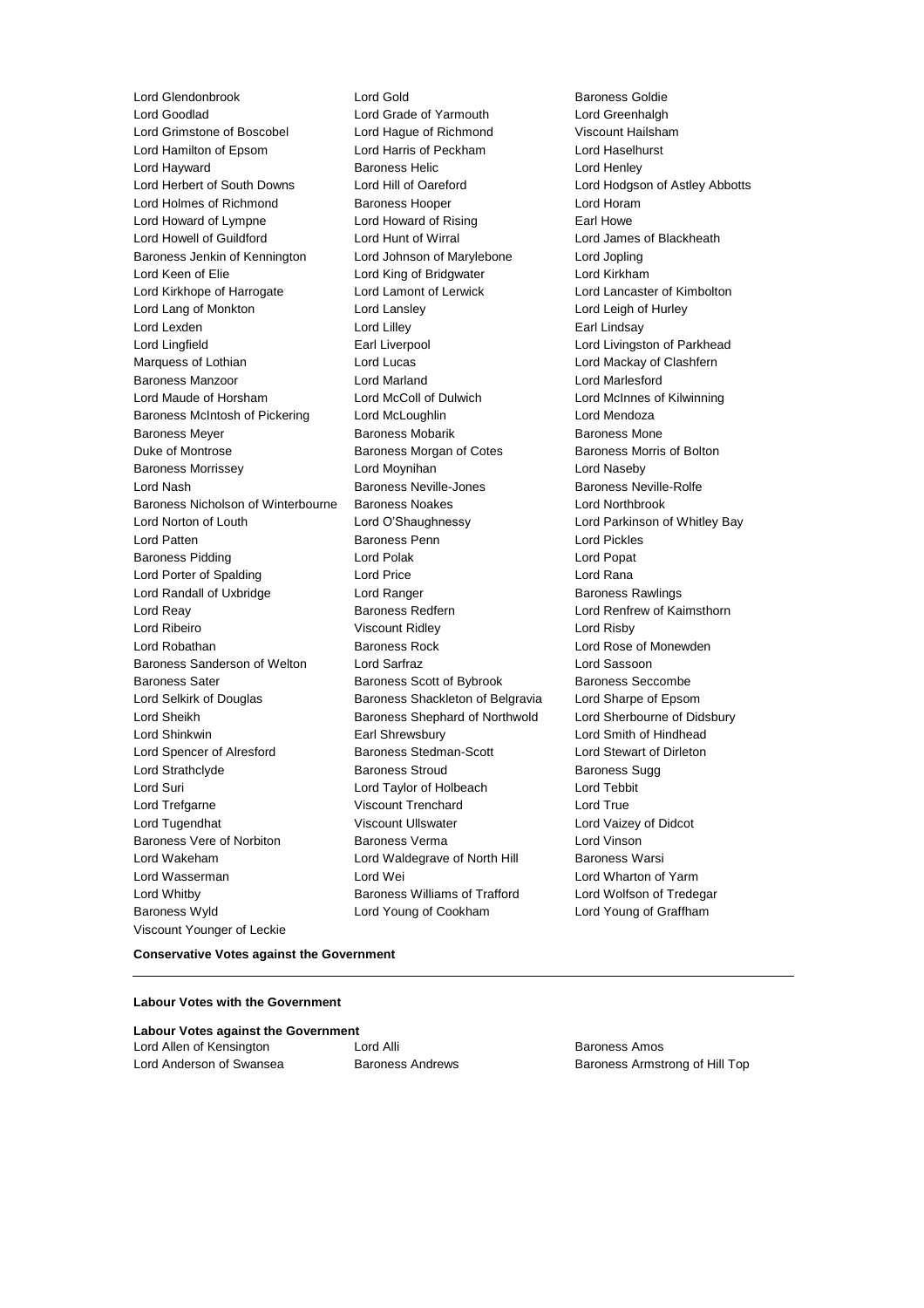Lord Glendonbrook Lord Gold Baroness Goldie<br>
Lord Goodlad **Baroness Coldie**<br>
Lord Goodlad **Baroness Coldie**<br>
Lord Grade of Yarmouth Lord Greenhaldh Lord Grimstone of Boscobel Lord Hague of Richmond Viscount Hailsham Lord Hamilton of Epsom Lord Harris of Peckham Lord Haselhurst Lord Hayward Baroness Helic Lord Henley Lord Herbert of South Downs Lord Hill of Oareford Lord Hodgson of Astley Abbotts Lord Holmes of Richmond Baroness Hooper Lord Horam Lord Howard of Lympne Lord Howard of Rising Earl Howe Lord Howell of Guildford Lord Hunt of Wirral Lord James of Blackheath Baroness Jenkin of Kennington Lord Johnson of Marylebone Lord Jopling Lord Keen of Elie Lord King of Bridgwater Lord Kirkham Lord Kirkhope of Harrogate Lord Lamont of Lerwick Lord Lancaster of Kimbolton Lord Lang of Monkton Lord Lansley Lord Leigh of Hurley Lord Lexden **Lord Lindsay** Lord Lilley **Communication** Lord Lindsay Lord Lingfield **Earl Liverpool** Earl Liverpool **Lord Livingston of Parkhead** Marquess of Lothian **Lord Lucas** Lord Lucas **Lord Mackay of Clashfern** Baroness Manzoor Lord Marland Lord Marlesford Lord Maude of Horsham Lord McColl of Dulwich Lord McInnes of Kilwinning Baroness McIntosh of Pickering Lord McLoughlin Lord Lord Mendoza Baroness Meyer **Baroness Mobarik** Baroness Mobarik Baroness Mone Duke of Montrose **Baroness Morgan of Cotes** Baroness Morris of Bolton Baroness Morrissey **Lord Moynihan** Lord Moynihan Lord Naseby Lord Nash Baroness Neville-Jones Baroness Neville-Rolfe Baroness Nicholson of Winterbourne Baroness Noakes Lord Northbrook Lord Norton of Louth Lord O'Shaughnessy Lord Parkinson of Whitley Bay Lord Patten Baroness Penn Lord Pickles Baroness Pidding Lord Polak Lord Popat Lord Porter of Spalding Lord Price Lord Rana Lord Randall of Uxbridge **Lord Ranger** Lord Ranger **Baroness Rawlings** Lord Reay **Baroness Redfern Baroness Redfern Lord Renfrew of Kaimsthorn** Lord Ribeiro Viscount Ridley Lord Risby Lord Robathan **Baroness Rock** Lord Rose of Monewden Baroness Sanderson of Welton Lord Sarfraz Lord Sassoon Baroness Sater **Baroness Scott of Bybrook** Baroness Seccombe Lord Selkirk of Douglas Baroness Shackleton of Belgravia Lord Sharpe of Epsom Lord Sheikh Baroness Shephard of Northwold Lord Sherbourne of Didsbury Lord Shinkwin Earl Shrewsbury Lord Smith of Hindhead Lord Spencer of Alresford Baroness Stedman-Scott Lord Stewart of Dirleton Lord Strathclyde **Baroness Stroud** Baroness Stroud Baroness Sugg Lord Suri Lord Taylor of Holbeach Lord Tebbit Lord Trefgarne Viscount Trenchard Lord True Lord Tugendhat Viscount Ullswater Lord Vaizey of Didcot Baroness Vere of Norbiton Baroness Verma Lord Vinson Lord Wakeham **Lord Waldegrave of North Hill** Baroness Warsi Lord Wasserman Lord Wei Lord Wharton of Yarm Lord Whitby **Baroness Williams of Trafford** Lord Wolfson of Tredegar Baroness Wyld Lord Young of Cookham Lord Young of Graffham Viscount Younger of Leckie

Lord Grade of Yarmouth Lord Greenhalgh

**Conservative Votes against the Government**

#### **Labour Votes with the Government**

| <b>Labour Votes against the Government</b> |                         |  |  |  |
|--------------------------------------------|-------------------------|--|--|--|
| Lord Allen of Kensington                   | Lord Alli               |  |  |  |
| Lord Anderson of Swansea                   | <b>Baroness Andrews</b> |  |  |  |

Baroness Amos Baroness Armstrong of Hill Top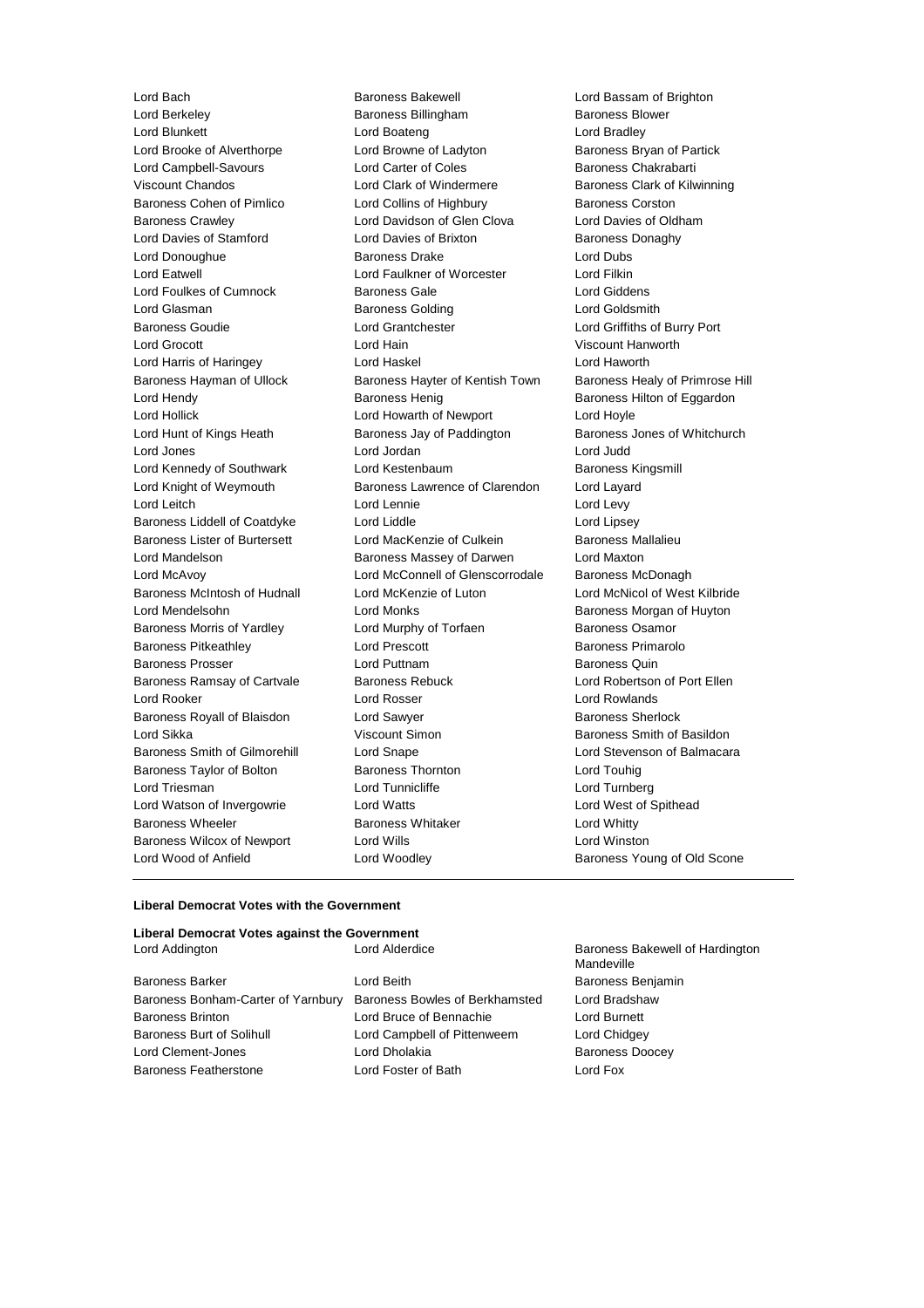Lord Berkeley Baroness Billingham Baroness Blower Lord Blunkett Lord Boateng Lord Bradley Lord Brooke of Alverthorpe **Lord Browne of Ladyton** Baroness Bryan of Partick Lord Campbell-Savours **Lord Carter of Coles** Baroness Chakrabarti Viscount Chandos **Lord Clark of Windermere** Baroness Clark of Kilwinning Baroness Cohen of Pimlico **Lord Collins of Highbury** Baroness Corston Baroness Crawley Lord Davidson of Glen Clova Lord Davies of Oldham Lord Davies of Stamford Lord Davies of Brixton Baroness Donaghy Lord Donoughue Baroness Drake Lord Dubs Lord Eatwell Lord Faulkner of Worcester Lord Filkin Lord Foulkes of Cumnock Baroness Gale Lord Giddens Lord Glasman Baroness Golding Lord Goldsmith Baroness Goudie Lord Grantchester Lord Griffiths of Burry Port Lord Grocott Lord Hain Viscount Hanworth Lord Harris of Haringey Lord Haskel Lord Haworth Baroness Hayman of Ullock Baroness Hayter of Kentish Town Baroness Healy of Primrose Hill Lord Hendy **Baroness Henig** Baroness Henig Baroness Hilton of Eggardon Lord Hollick Lord Howarth of Newport Lord Hoyle<br>
Lord Hunt of Kings Heath **Baroness Jay of Paddington** Baroness Jay of Paddington Lord Jones Lord Jordan Lord Judd Lord Kennedy of Southwark Lord Kestenbaum Baroness Kingsmill Lord Knight of Weymouth Baroness Lawrence of Clarendon Lord Layard Lord Leitch Lord Lennie Lord Levy Baroness Liddell of Coatdyke Lord Liddle Lord Lines Lord Lipsey Baroness Lister of Burtersett Lord MacKenzie of Culkein Baroness Mallalieu Lord Mandelson Baroness Massey of Darwen Lord Maxton Lord McAvoy Lord McConnell of Glenscorrodale Baroness McDonagh Baroness McIntosh of Hudnall Lord McKenzie of Luton Lord McNicol of West Kilbride Lord Mendelsohn Lord Monks Baroness Morgan of Huyton Baroness Morris of Yardley **Lord Murphy of Torfaen** Baroness Osamor Baroness Pitkeathley **Lord Prescott** Baroness Primarolo Baroness Prosser **Baroness Prosser** Lord Puttnam **Baroness Quin** Baroness Ramsay of Cartvale Baroness Rebuck Lord Robertson of Port Ellen Lord Rooker Lord Rosser Lord Rowlands Baroness Royall of Blaisdon Lord Sawyer **Baroness Sherlock** Lord Sikka **Viscount Simon** Baroness Smith of Basildon **Baroness** Smith of Basildon Baroness Smith of Gilmorehill Lord Snape Lord Stevenson of Balmacara Baroness Taylor of Bolton Baroness Thornton Lord Touhig Lord Triesman **Lord Tunnicliffe** Lord Tunnicliffe Lord Turnberg Lord Watson of Invergowrie Lord Watts Lord West of Spithead Baroness Wheeler **Baroness Whitaker** Lord Whitty Baroness Wilcox of Newport Lord Wills Lord Winston Lord Wood of Anfield **Lord Woodley Baroness Young of Old Scone** 

Lord Bach **Baroness Bakewell Baroness Bakewell Lord Bassam of Brighton** Baroness Jay of Paddington Baroness Jones of Whitchurch

#### **Liberal Democrat Votes with the Government**

#### **Liberal Democrat Votes against the Government** Lord Addington Lord Alderdice Baroness Bakewell of Hardington

Baroness Barker **Communist Baroness Benjamin** Lord Beith **Baroness Benjamin** Baroness Bonham-Carter of Yarnbury Baroness Bowles of Berkhamsted Lord Bradshaw Baroness Brinton Lord Bruce of Bennachie Lord Burnett Baroness Burt of Solihull Lord Campbell of Pittenweem Lord Chidgey Lord Clement-Jones **Lord Dholakia Baroness Doocey** Baroness Featherstone Lord Foster of Bath Lord Fox

Mandeville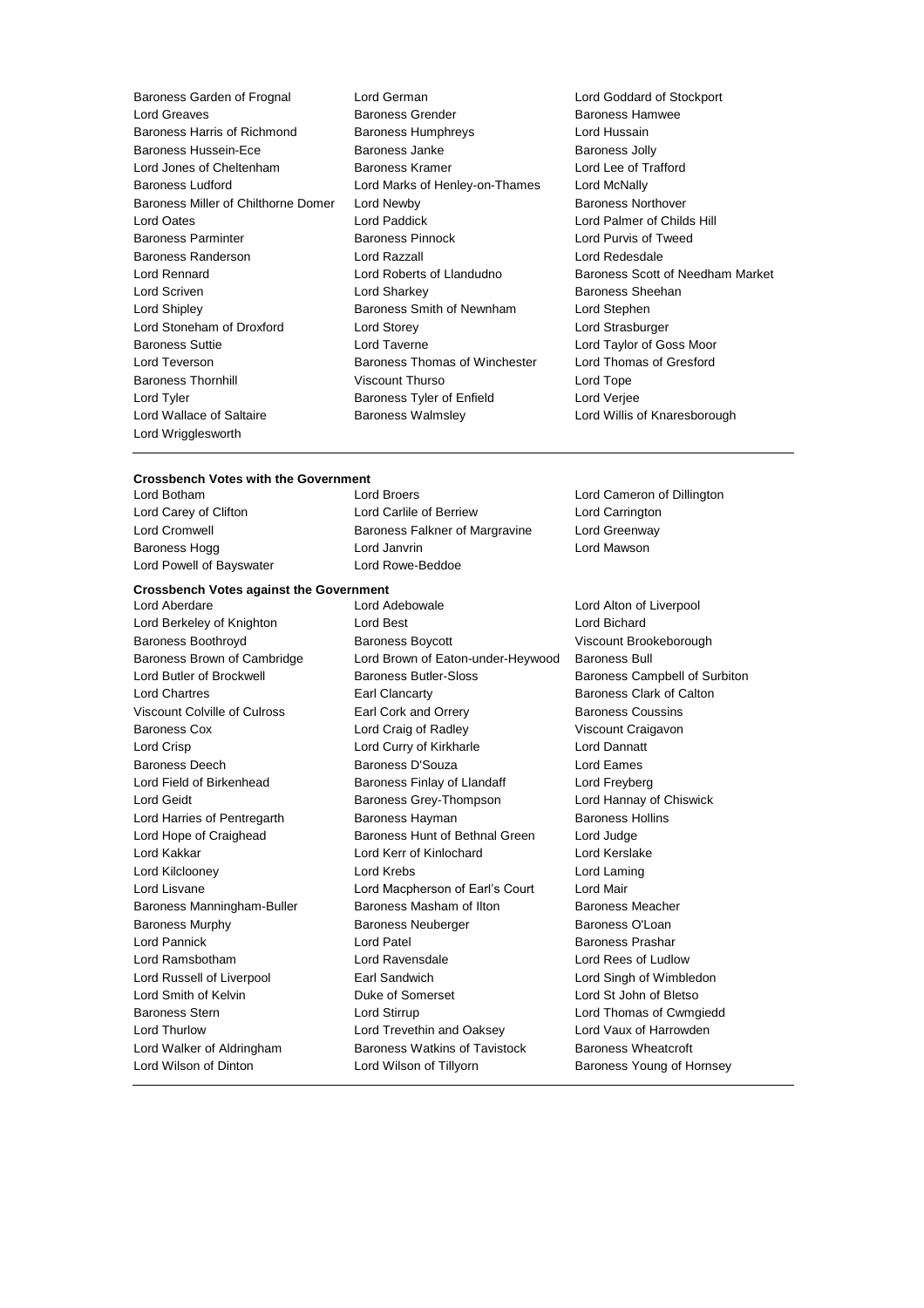Baroness Garden of Frognal Lord German Lord Goddard of Stockport Lord Greaves Baroness Grender Baroness Hamwee Baroness Harris of Richmond Baroness Humphreys Lord Hussain Baroness Hussein-Ece **Baroness** Janke Baroness Janke Baroness Jolly Lord Jones of Cheltenham Baroness Kramer Lord Lee of Trafford Baroness Ludford Lord Marks of Henley-on-Thames Lord McNally Baroness Miller of Chilthorne Domer Lord Newby **Baroness Northover** Baroness Northover Lord Oates Lord Paddick Lord Palmer of Childs Hill Baroness Parminter **Baroness Pinnock** Lord Purvis of Tweed Baroness Randerson Lord Razzall Lord Redesdale Lord Rennard Lord Roberts of Llandudno Baroness Scott of Needham Market Lord Scriven Lord Sharkey Baroness Sheehan Lord Shipley **Baroness Smith of Newnham** Lord Stephen Lord Stoneham of Droxford Lord Storey Lord Strasburger Baroness Suttie Lord Taverne Lord Taylor of Goss Moor Lord Teverson **Baroness Thomas of Winchester** Lord Thomas of Gresford Baroness Thornhill Viscount Thurso Lord Tope Lord Tyler Baroness Tyler of Enfield Lord Verjee Lord Wallace of Saltaire **Baroness Walmsley Communist Conduct And Millis of Knaresborough** Lord Wrigglesworth

# **Crossbench Votes with the Government**

**Crossbench Votes against the Government**

Lord Powell of Bayswater **Lord Rowe-Beddoe** 

Lord Geidt **Baroness Grey-Thompson** 

Lord Broers **Lord Cameron of Dillington** Lord Carey of Clifton Lord Carlile of Berriew Lord Carrington Lord Cromwell **Baroness Falkner of Margravine** Lord Greenway Baroness Hogg **Lord Lord Janvrin** Lord Janvrin Lord Mawson

Lord Aberdare Lord Adebowale Lord Alton of Liverpool Lord Berkeley of Knighton Lord Best Lord Bichard Baroness Boothroyd Baroness Boycott Viscount Brookeborough Baroness Brown of Cambridge Lord Brown of Eaton-under-Heywood Baroness Bull Lord Butler of Brockwell Baroness Butler-Sloss Baroness Campbell of Surbiton Lord Chartres **Earl Clancarty** Earl Clancarty **Baroness Clark of Calton** Viscount Colville of Culross **Earl Cork and Orrery Construct Colville Constant** Earl Cork and Orrery Baroness Coussins Baroness Cox Lord Craig of Radley Viscount Craigavon Lord Crisp Lord Curry of Kirkharle Lord Dannatt Baroness Deech Baroness D'Souza Lord Eames Lord Field of Birkenhead **Baroness Finlay of Llandaff** Lord Freyberg<br>
Lord Geidt **Baroness Grey-Thompson** Lord Hannay of Chiswick Lord Harries of Pentregarth Baroness Hayman Baroness Hollins Lord Hope of Craighead Baroness Hunt of Bethnal Green Lord Judge Lord Kakkar Lord Kerr of Kinlochard Lord Kerslake Lord Kilclooney Lord Krebs Lord Laming Lord Lisvane Lord Macpherson of Earl's Court Lord Mair Baroness Manningham-Buller Baroness Masham of Ilton Baroness Meacher Baroness Murphy Baroness Neuberger Baroness O'Loan Lord Pannick **Lord Patel Baroness Prashar Lord Patel Baroness Prashar** Lord Ramsbotham Lord Ravensdale Lord Rees of Ludlow Lord Russell of Liverpool Earl Sandwich Lord Singh of Wimbledon Lord Smith of Kelvin Duke of Somerset Lord St John of Bletso Baroness Stern Lord Stirrup Lord Thomas of Cwmgiedd Lord Thurlow Lord Trevethin and Oaksey Lord Vaux of Harrowden Lord Walker of Aldringham Baroness Watkins of Tavistock Baroness Wheatcroft Lord Wilson of Dinton **Lord Wilson of Tillyorn** Baroness Young of Hornsey